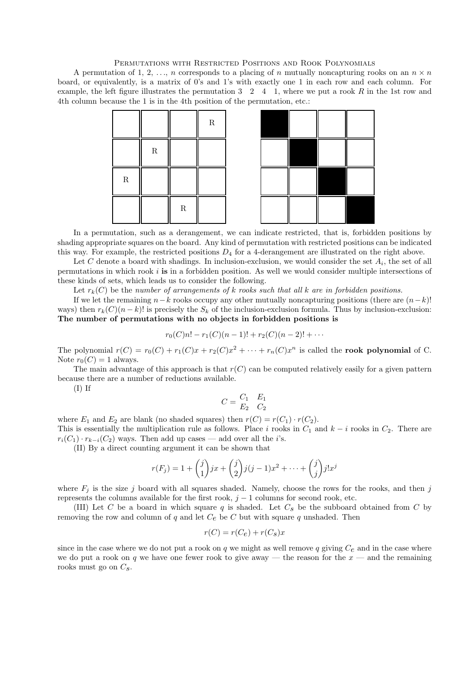## Permutations with Restricted Positions and Rook Polynomials

A permutation of 1, 2, ..., *n* corresponds to a placing of *n* mutually noncapturing rooks on an  $n \times n$ board, or equivalently, is a matrix of 0's and 1's with exactly one 1 in each row and each column. For example, the left figure illustrates the permutation  $3 \quad 2 \quad 4 \quad 1$ , where we put a rook R in the 1st row and 4th column because the 1 is in the 4th position of the permutation, etc.:



In a permutation, such as a derangement, we can indicate restricted, that is, forbidden positions by shading appropriate squares on the board. Any kind of permutation with restricted positions can be indicated this way. For example, the restricted positions  $D_4$  for a 4-derangement are illustrated on the right above.

Let C denote a board with shadings. In inclusion-exclusion, we would consider the set  $A_i$ , the set of all permutations in which rook  $i$  is in a forbidden position. As well we would consider multiple intersections of these kinds of sets, which leads us to consider the following.

Let  $r_k(C)$  be the number of arrangements of k rooks such that all k are in forbidden positions.

If we let the remaining  $n-k$  rooks occupy any other mutually noncapturing positions (there are  $(n-k)!$ ways) then  $r_k(C)(n-k)!$  is precisely the  $S_k$  of the inclusion-exclusion formula. Thus by inclusion-exclusion: The number of permutations with no objects in forbidden positions is

$$
r_0(C)n! - r_1(C)(n-1)! + r_2(C)(n-2)! + \cdots
$$

The polynomial  $r(C) = r_0(C) + r_1(C)x + r_2(C)x^2 + \cdots + r_n(C)x^n$  is called the **rook polynomial** of C. Note  $r_0(C) = 1$  always.

The main advantage of this approach is that  $r(C)$  can be computed relatively easily for a given pattern because there are a number of reductions available.

(I) If

$$
C = \begin{bmatrix} C_1 & E_1 \\ E_2 & C_2 \end{bmatrix}
$$

where  $E_1$  and  $E_2$  are blank (no shaded squares) then  $r(C) = r(C_1) \cdot r(C_2)$ . This is essentially the multiplication rule as follows. Place i rooks in  $C_1$  and  $k - i$  rooks in  $C_2$ . There are

 $r_i(C_1) \cdot r_{k-i}(C_2)$  ways. Then add up cases — add over all the *i*'s.

(II) By a direct counting argument it can be shown that

$$
r(F_j) = 1 + {j \choose 1} jx + {j \choose 2} j(j-1)x^2 + \dots + {j \choose j} j!x^j
$$

where  $F_j$  is the size j board with all squares shaded. Namely, choose the rows for the rooks, and then j represents the columns available for the first rook,  $j - 1$  columns for second rook, etc.

(III) Let C be a board in which square q is shaded. Let  $C_s$  be the subboard obtained from C by removing the row and column of q and let  $C_e$  be C but with square q unshaded. Then

$$
r(C) = r(C_e) + r(C_s)x
$$

since in the case where we do not put a rook on q we might as well remove q giving  $C_e$  and in the case where we do put a rook on q we have one fewer rook to give away — the reason for the  $x$  — and the remaining rooks must go on  $C_s$ .